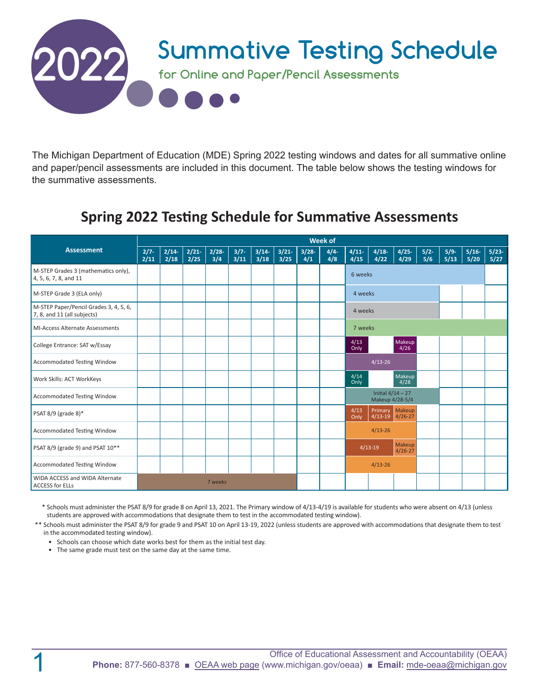

The Michigan Department of Education (MDE) Spring 2022 testing windows and dates for all summative online and paper/pencil assessments are included in this document. The table below shows the testing windows for the summative assessments.

# **Spring 2022 Testing Schedule for Summative Assessments**

|                                                                       | <b>Week of</b>  |                 |                 |                |                 |                 |              |                 |               |                                    |                                        |                  |               |                |                 |                 |
|-----------------------------------------------------------------------|-----------------|-----------------|-----------------|----------------|-----------------|-----------------|--------------|-----------------|---------------|------------------------------------|----------------------------------------|------------------|---------------|----------------|-----------------|-----------------|
| <b>Assessment</b>                                                     | $2/7 -$<br>2/11 | $2/14-$<br>2/18 | $2/21-$<br>2/25 | $2/28-$<br>3/4 | $3/7 -$<br>3/11 | $3/14-$<br>3/18 | 3/21<br>3/25 | $3/28 -$<br>4/1 | $4/4-$<br>4/8 | 4/11<br>4/15                       | $4/18-$<br>4/22                        | $4/25 -$<br>4/29 | $5/2-$<br>5/6 | $5/9-$<br>5/13 | $5/16-$<br>5/20 | $5/23-$<br>5/27 |
| M-STEP Grades 3 (mathematics only),<br>4, 5, 6, 7, 8, and 11          |                 |                 |                 |                |                 |                 |              |                 |               | 6 weeks                            |                                        |                  |               |                |                 |                 |
| M-STEP Grade 3 (ELA only)                                             |                 |                 |                 |                |                 |                 |              |                 |               | 4 weeks                            |                                        |                  |               |                |                 |                 |
| M-STEP Paper/Pencil Grades 3, 4, 5, 6,<br>7, 8, and 11 (all subjects) |                 |                 |                 |                |                 |                 |              |                 |               | 4 weeks                            |                                        |                  |               |                |                 |                 |
| <b>MI-Access Alternate Assessments</b>                                |                 |                 |                 |                |                 |                 |              |                 |               | 7 weeks                            |                                        |                  |               |                |                 |                 |
| College Entrance: SAT w/Essay                                         |                 |                 |                 |                |                 |                 |              |                 |               | 4/13<br>Only                       |                                        | Makeup<br>4/26   |               |                |                 |                 |
| <b>Accommodated Testing Window</b>                                    |                 |                 |                 |                |                 |                 |              |                 |               |                                    | $4/13 - 26$                            |                  |               |                |                 |                 |
| Work Skills: ACT WorkKeys                                             |                 |                 |                 |                |                 |                 |              |                 |               | 4/14<br>Only                       |                                        | Makeup<br>4/28   |               |                |                 |                 |
| Accommodated Testing Window                                           |                 |                 |                 |                |                 |                 |              |                 |               |                                    | Initial $4/14 - 27$<br>Makeup 4/28-5/4 |                  |               |                |                 |                 |
| PSAT 8/9 (grade 8)*                                                   |                 |                 |                 |                |                 |                 |              |                 |               | 4/13<br>Only                       | Primary Makeup<br>$4/13-19$ $4/26-27$  |                  |               |                |                 |                 |
| Accommodated Testing Window                                           |                 |                 |                 |                |                 |                 |              |                 |               |                                    | $4/13 - 26$                            |                  |               |                |                 |                 |
| PSAT 8/9 (grade 9) and PSAT 10**                                      |                 |                 |                 |                |                 |                 |              |                 |               | Makeup<br>$4/13-19$<br>$4/26 - 27$ |                                        |                  |               |                |                 |                 |
| Accommodated Testing Window                                           |                 |                 |                 |                |                 |                 |              |                 |               |                                    | $4/13 - 26$                            |                  |               |                |                 |                 |
| WIDA ACCESS and WIDA Alternate<br><b>ACCESS for ELLs</b>              | 7 weeks         |                 |                 |                |                 |                 |              |                 |               |                                    |                                        |                  |               |                |                 |                 |

\* Schools must administer the PSAT 8/9 for grade 8 on April 13, 2021. The Primary window of 4/13-4/19 is available for students who were absent on 4/13 (unless students are approved with accommodations that designate them to test in the accommodated testing window).

\*\* Schools must administer the PSAT 8/9 for grade 9 and PSAT 10 on April 13-19, 2022 (unless students are approved with accommodations that designate them to test in the accommodated testing window).

- Schools can choose which date works best for them as the initial test day.
- The same grade must test on the same day at the same time.

1